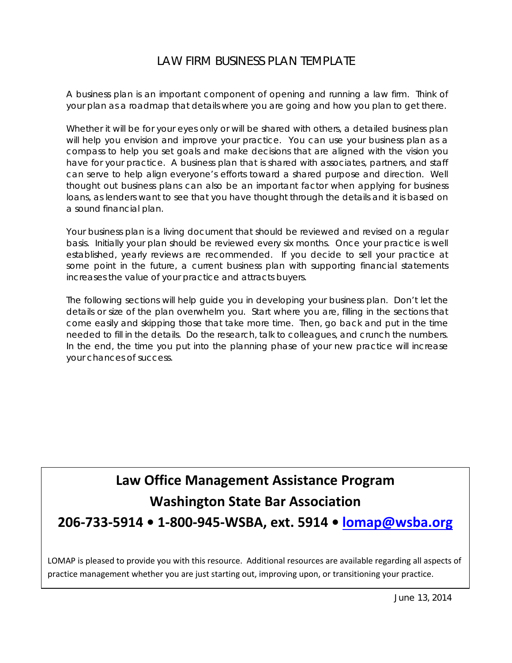# LAW FIRM BUSINESS PLAN TEMPLATE

A business plan is an important component of opening and running a law firm. Think of your plan as a roadmap that details where you are going and how you plan to get there.

Whether it will be for your eyes only or will be shared with others, a detailed business plan will help you envision and improve your practice. You can use your business plan as a compass to help you set goals and make decisions that are aligned with the vision you have for your practice. A business plan that is shared with associates, partners, and staff can serve to help align everyone's efforts toward a shared purpose and direction. Well thought out business plans can also be an important factor when applying for business loans, as lenders want to see that you have thought through the details and it is based on a sound financial plan.

Your business plan is a living document that should be reviewed and revised on a regular basis. Initially your plan should be reviewed every six months. Once your practice is well established, yearly reviews are recommended. If you decide to sell your practice at some point in the future, a current business plan with supporting financial statements increases the value of your practice and attracts buyers.

The following sections will help guide you in developing your business plan. Don't let the details or size of the plan overwhelm you. Start where you are, filling in the sections that come easily and skipping those that take more time. Then, go back and put in the time needed to fill in the details. Do the research, talk to colleagues, and crunch the numbers. In the end, the time you put into the planning phase of your new practice will increase your chances of success.

# **Law Office Management Assistance Program Washington State Bar Association**

**206-733-5914 • 1-800-945-WSBA, ext. 5914 • [lomap@wsba.org](mailto:lomap@wsba.org)**

LOMAP is pleased to provide you with this resource. Additional resources are available regarding all aspects of practice management whether you are just starting out, improving upon, or transitioning your practice.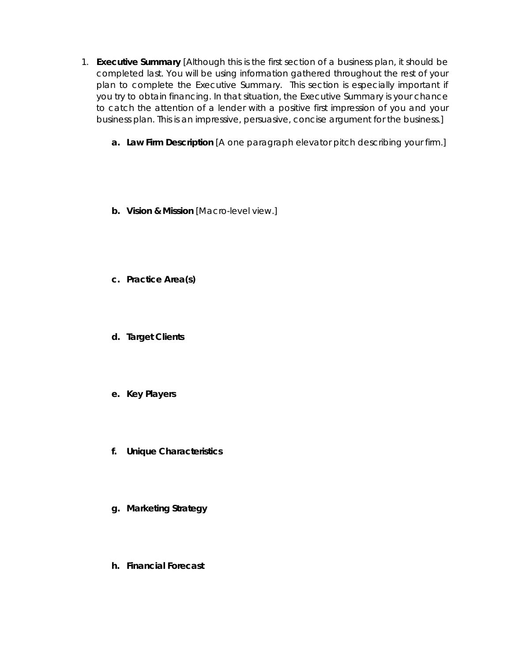- 1. **Executive Summary** [Although this is the first section of a business plan, it should be completed last. You will be using information gathered throughout the rest of your plan to complete the Executive Summary. This section is especially important if you try to obtain financing. In that situation, the Executive Summary is your chance to catch the attention of a lender with a positive first impression of you and your business plan. This is an impressive, persuasive, concise argument for the business.]
	- **a. Law Firm Description** [A one paragraph elevator pitch describing your firm.]
	- **b. Vision & Mission** [Macro-level view.]
	- **c. Practice Area(s)**
	- **d. Target Clients**
	- **e. Key Players**
	- **f. Unique Characteristics**
	- **g. Marketing Strategy**
	- **h. Financial Forecast**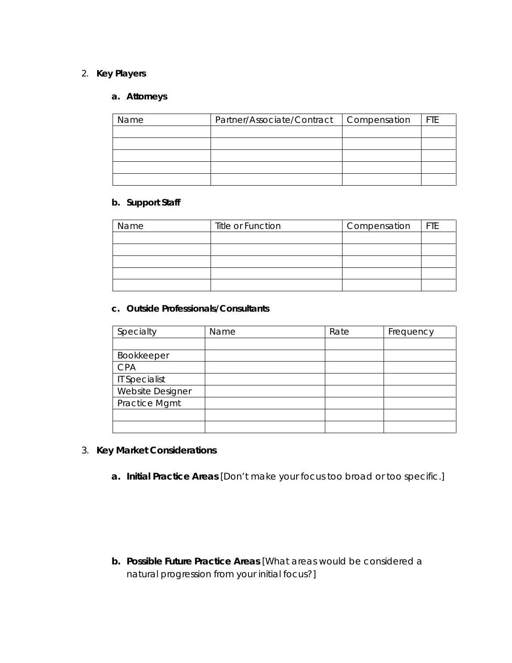#### 2. **Key Players**

## **a. Attorneys**

| Name | Partner/Associate/Contract   Compensation | <b>FTE</b> |
|------|-------------------------------------------|------------|
|      |                                           |            |
|      |                                           |            |
|      |                                           |            |
|      |                                           |            |
|      |                                           |            |

#### **b. Support Staff**

| Name | Title or Function | Compensation | <b>IFTE</b> |
|------|-------------------|--------------|-------------|
|      |                   |              |             |
|      |                   |              |             |
|      |                   |              |             |
|      |                   |              |             |
|      |                   |              |             |

#### **c. Outside Professionals/Consultants**

| Specialty            | Name | Rate | Frequency |
|----------------------|------|------|-----------|
|                      |      |      |           |
| Bookkeeper           |      |      |           |
| <b>CPA</b>           |      |      |           |
| <b>IT Specialist</b> |      |      |           |
| Website Designer     |      |      |           |
| Practice Mgmt        |      |      |           |
|                      |      |      |           |
|                      |      |      |           |

- 3. **Key Market Considerations**
	- **a. Initial Practice Areas** [Don't make your focus too broad or too specific.]

**b. Possible Future Practice Areas** [What areas would be considered a natural progression from your initial focus?]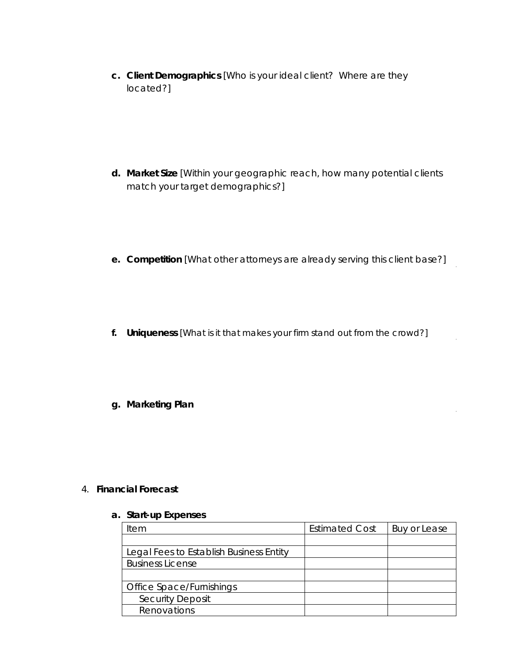**c. Client Demographics** [Who is your *ideal* client? Where are they located?]

- **d. Market Size** [Within your geographic reach, how many potential clients match your target demographics?]
- **e. Competition** [What other attorneys are already serving this client base?]
- **f. Uniqueness** [What is it that makes your firm stand out from the crowd?]
- **g. Marketing Plan**

4. **Financial Forecast**

#### **a. Start-up Expenses**

| Item                                    | <b>Estimated Cost</b> | Buy or Lease |
|-----------------------------------------|-----------------------|--------------|
|                                         |                       |              |
| Legal Fees to Establish Business Entity |                       |              |
| <b>Business License</b>                 |                       |              |
|                                         |                       |              |
| Office Space/Furnishings                |                       |              |
| <b>Security Deposit</b>                 |                       |              |
| Renovations                             |                       |              |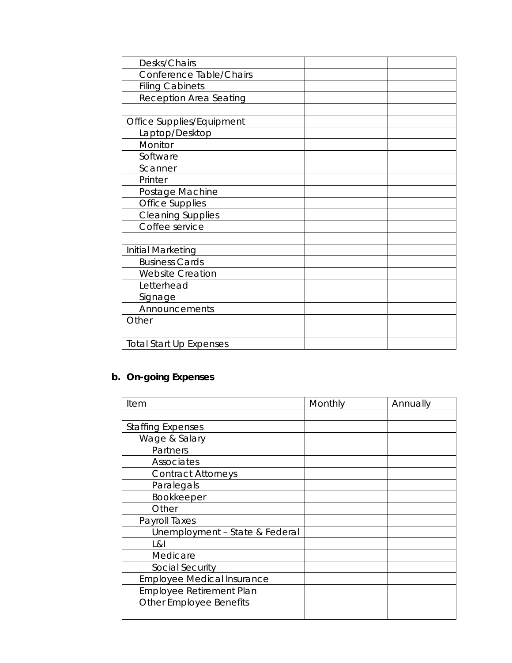| Desks/Chairs                   |  |
|--------------------------------|--|
| Conference Table/Chairs        |  |
| <b>Filing Cabinets</b>         |  |
| Reception Area Seating         |  |
|                                |  |
| Office Supplies/Equipment      |  |
| Laptop/Desktop                 |  |
| Monitor                        |  |
| Software                       |  |
| Scanner                        |  |
| Printer                        |  |
| Postage Machine                |  |
| <b>Office Supplies</b>         |  |
| <b>Cleaning Supplies</b>       |  |
| Coffee service                 |  |
|                                |  |
| Initial Marketing              |  |
| <b>Business Cards</b>          |  |
| <b>Website Creation</b>        |  |
| Letterhead                     |  |
| Signage                        |  |
| Announcements                  |  |
| Other                          |  |
|                                |  |
| <b>Total Start Up Expenses</b> |  |

# **b. On-going Expenses**

| Item                              | Monthly | Annually |
|-----------------------------------|---------|----------|
|                                   |         |          |
| <b>Staffing Expenses</b>          |         |          |
| Wage & Salary                     |         |          |
| Partners                          |         |          |
| Associates                        |         |          |
| <b>Contract Attorneys</b>         |         |          |
| Paralegals                        |         |          |
| <b>Bookkeeper</b>                 |         |          |
| Other                             |         |          |
| Payroll Taxes                     |         |          |
| Unemployment - State & Federal    |         |          |
| L&I                               |         |          |
| Medicare                          |         |          |
| Social Security                   |         |          |
| <b>Employee Medical Insurance</b> |         |          |
| <b>Employee Retirement Plan</b>   |         |          |
| <b>Other Employee Benefits</b>    |         |          |
|                                   |         |          |